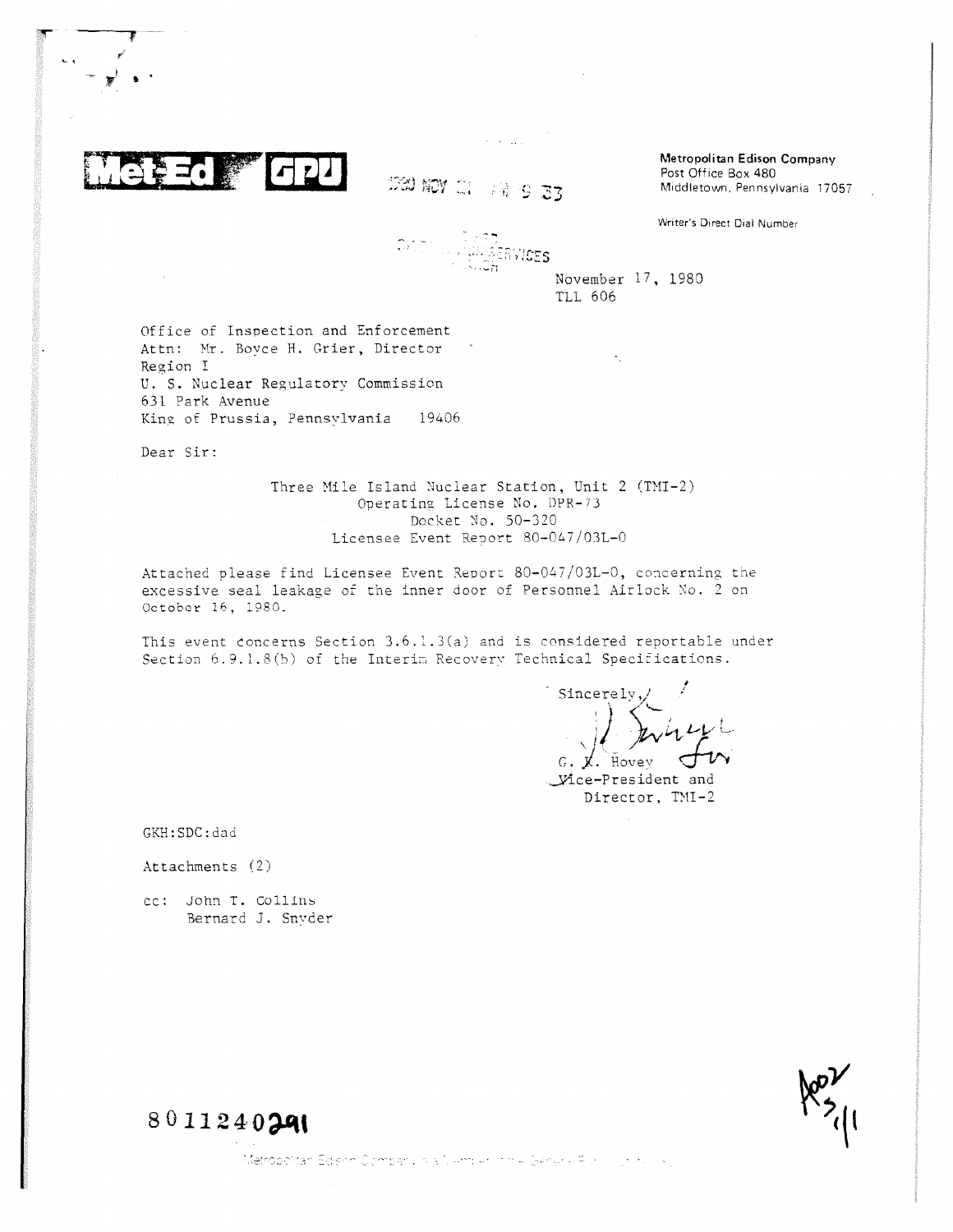

230 加7 21 精多了了

 $\hat{S} = \hat{S}^{\dagger} \hat{S}^{\dagger}$  ,  $\hat{S}^{\dagger}$ 

Metropolitan Edison Company Post Office Box 480 Middletown, Pennsylvania 17057

Writer's Direct Dial Number

 $\mathbb{Q}$ <sup>ink</sup> services

November 17, 1980 TLL 606

Office of Inspection and Enforcement Attn: Mr. Boyce H. Grier, Director Region I U. S. Nuclear Regulatory Commission 631 Park Avenue King of Prussia, Pennsylvania 19406

Dear Sir:

Three Mile Island Nuclear Station, Unit 2 (TMI-2) Operating License No. DPR-73 Docket No. 50-320 Licensee Event Report 80-047/03L-0

Attached please find Licensee Event Report 80-047/03L-0, concerning the excessive seal leakage of the inner door of Personnel Airlock No. 2 on October 16, 1980.

This event concerns Section 3.6.1.3(a) and is considered reportable under Section 6.9.1.8(b) of the Interim Recovery Technical Specifications.

Sincerely,  $\chi$ . Hovey

-.Vice-President and Director, TMI-2

GKH:SDC:dad

Attachments (2)

cc: john T. Collins Bernard J. Snyder



8011240291

Metropolitan Edison Company ola 1 Amry 1991 e Genera Altri III (1991 e 1991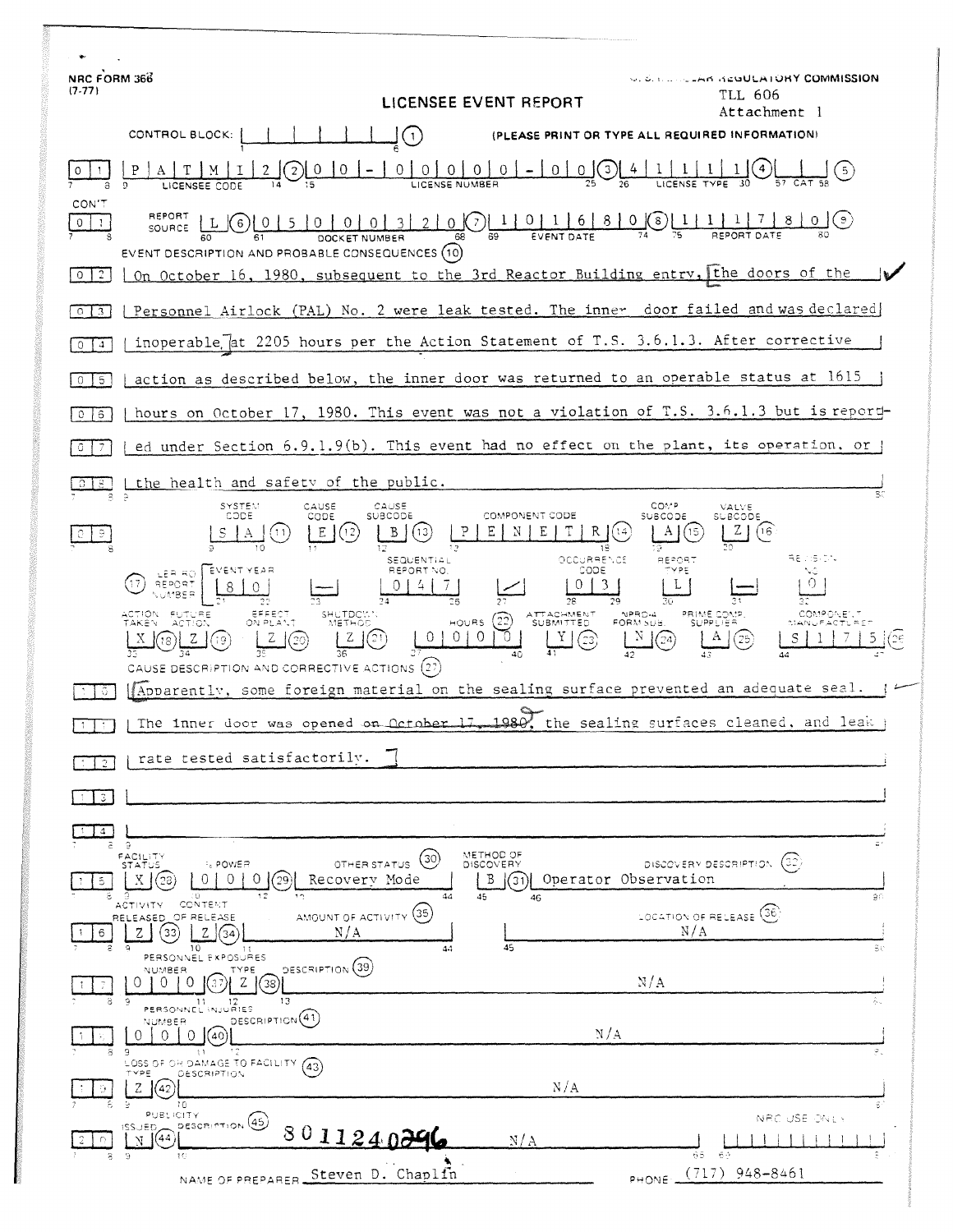| NRC FORM 366<br>$(7-77)$<br>LICENSEE EVENT REPORT                                                                                                                                                                                                         | <b>J. S. C. Louis And Acultain ORY COMMISSION</b><br>TLL 606<br>Attachment l                                         |    |
|-----------------------------------------------------------------------------------------------------------------------------------------------------------------------------------------------------------------------------------------------------------|----------------------------------------------------------------------------------------------------------------------|----|
| CONTROL BLOCK:<br>$\mathbf{1}$                                                                                                                                                                                                                            | (PLEASE PRINT OR TYPE ALL REQUIRED INFORMATION)                                                                      |    |
| $\circ$<br>$\circ$<br>0<br>$\overline{0}$                                                                                                                                                                                                                 | $\overline{0}$<br>$\mathbf{0}$<br>$\left(3\right)$<br>$\circ$<br>-5)                                                 |    |
| CON T<br>REPORT<br>[0 0 0 3 2]<br>$\overline{0}$<br>-5<br>0<br>(6)<br>-1<br>SOURCE.<br>EVENT DESCRIPTION AND PROBABLE CONSEQUENCES (10)<br>On October 16, 1980, subsequent to the 3rd Reactor Building entry, the doors of the<br>$\mathbf{2}$<br>$\circ$ | 0.0011011680<br>(9)                                                                                                  |    |
| $\Omega$<br>$\mathbf{3}$                                                                                                                                                                                                                                  | Personnel Airlock (PAL) No. 2 were leak tested. The inner door failed and was declared                               |    |
| inoperable at 2205 hours per the Action Statement of T.S. 3.6.1.3. After corrective<br>4.<br>0                                                                                                                                                            |                                                                                                                      |    |
| action as described below, the inner door was returned to an operable status at 1615<br>5<br>$\circ$                                                                                                                                                      |                                                                                                                      |    |
| 6<br>0                                                                                                                                                                                                                                                    | hours on October 17, 1980. This event was not a violation of T.S. 3.6.1.3 but is report-                             |    |
| 0                                                                                                                                                                                                                                                         | ed under Section 6.9.1.9(b). This event had no effect on the plant, its operation, or                                |    |
| the health and safety of the public.                                                                                                                                                                                                                      |                                                                                                                      |    |
| CAUSE<br>SYSTEM<br>CAUSE<br>CODE<br>SUBCODE<br>CODE<br>Ε<br>12<br><b>SEQUENTIAL</b><br>REPORT NO<br>EVENT YEAR                                                                                                                                            | COMP<br>VALVE<br>COMPONENT CODE<br>SUBCODE<br>SUBCODE<br>16<br>18<br>REVISION<br>OCCURRENCE<br>AEPORT<br>соре<br>vpr |    |
| LER RO<br>EFFECT<br><b>FUTURE</b><br>ACTION<br>SHUTDCV.<br>METHOD<br>$HOWRS$ (22)<br><b>TAKEN</b><br>$\circ$<br>CAUSE DESCRIPTION AND CORRECTIVE ACTIONS (27)                                                                                             | 0.<br>NPRD-4<br>ATTACHMENT<br>PRIME COMP<br>- SUPPLIER<br>FORM SUB.                                                  |    |
| Apparently, some foreign material on the sealing surface prevented an adequate seal.                                                                                                                                                                      |                                                                                                                      |    |
| The inner door was opened on <u>October</u>                                                                                                                                                                                                               | 1980<br>the sealing surfaces cleaned, and leak                                                                       |    |
| rate tested satisfactorily.                                                                                                                                                                                                                               |                                                                                                                      |    |
| з.                                                                                                                                                                                                                                                        |                                                                                                                      |    |
| 4.<br>a.<br>-9<br>METHOD OF<br>FACILITY<br>(30)                                                                                                                                                                                                           |                                                                                                                      |    |
| <b>ELPOWER</b><br>DISCOVERY<br><b>STATUS</b><br>OTHER STATUS<br>$\Omega$<br>0<br>B<br>0.<br>'29<br>Recovery Mode<br>5<br>12<br>44<br>45<br>O.<br>م و                                                                                                      | (32)<br>DISCOVERY DESCRIPTION<br>Operator Observation<br>31)<br>46                                                   | яń |
| CONTENT<br><b>ACTIVITY</b><br>AMOUNT OF ACTIVITY (35)<br>RELEASED, OF RELEASE<br>N/A<br>Z<br>33<br>6<br>34<br>10<br>-Q.<br>44                                                                                                                             | LOCATION OF RELEASE (36)<br>N/A<br>45                                                                                | ŝυ |
| PERSONNEL EXPOSURES<br>DESCRIPTION (39)<br>TYPE<br><b>NUMBER</b><br>Z<br>-0<br>$\left( \right)$<br>$\left( \right)$<br>'38'<br>13<br>Э<br>11<br>12<br>PERSONNEL INJURIES                                                                                  | N/A                                                                                                                  |    |
| DESCRIPTION <sup>(41)</sup><br>NUMBER<br>∩<br>0<br>$\Omega$<br>(40)                                                                                                                                                                                       | N/A                                                                                                                  |    |
| 9<br>-11<br>LOSS OF OR DAMAGE TO FACILITY.<br>(43)<br>TYPE.<br>DESCRIPTION<br>z<br>42<br>10.                                                                                                                                                              | N/A                                                                                                                  |    |
| PUBLICITY<br>DESCRIPTION (45)<br>1SSUED<br>801124029<br>(44)<br>N<br>-9<br>8<br>-10                                                                                                                                                                       | NRC USE ONLY<br>N/A<br>69.<br>68.                                                                                    |    |
| Steven D. Chaplfn<br>NAME OF PREPARER.                                                                                                                                                                                                                    | $(717)$ 948-8461<br><b>PHONE</b>                                                                                     |    |